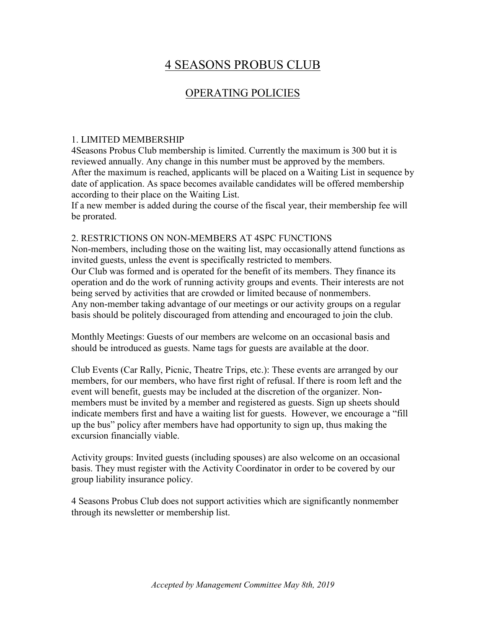# 4 SEASONS PROBUS CLUB

# OPERATING POLICIES

### 1. LIMITED MEMBERSHIP

4Seasons Probus Club membership is limited. Currently the maximum is 300 but it is reviewed annually. Any change in this number must be approved by the members. After the maximum is reached, applicants will be placed on a Waiting List in sequence by date of application. As space becomes available candidates will be offered membership according to their place on the Waiting List.

If a new member is added during the course of the fiscal year, their membership fee will be prorated.

#### 2. RESTRICTIONS ON NON-MEMBERS AT 4SPC FUNCTIONS

Non-members, including those on the waiting list, may occasionally attend functions as invited guests, unless the event is specifically restricted to members. Our Club was formed and is operated for the benefit of its members. They finance its operation and do the work of running activity groups and events. Their interests are not being served by activities that are crowded or limited because of nonmembers. Any non-member taking advantage of our meetings or our activity groups on a regular basis should be politely discouraged from attending and encouraged to join the club.

Monthly Meetings: Guests of our members are welcome on an occasional basis and should be introduced as guests. Name tags for guests are available at the door.

Club Events (Car Rally, Picnic, Theatre Trips, etc.): These events are arranged by our members, for our members, who have first right of refusal. If there is room left and the event will benefit, guests may be included at the discretion of the organizer. Nonmembers must be invited by a member and registered as guests. Sign up sheets should indicate members first and have a waiting list for guests. However, we encourage a "fill up the bus" policy after members have had opportunity to sign up, thus making the excursion financially viable.

Activity groups: Invited guests (including spouses) are also welcome on an occasional basis. They must register with the Activity Coordinator in order to be covered by our group liability insurance policy.

4 Seasons Probus Club does not support activities which are significantly nonmember through its newsletter or membership list.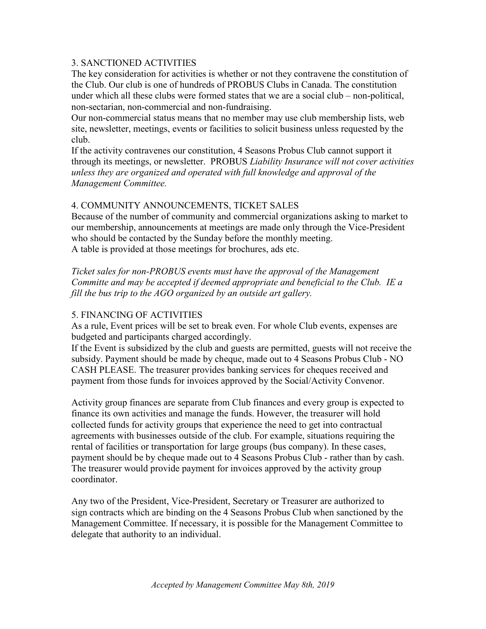#### 3. SANCTIONED ACTIVITIES

The key consideration for activities is whether or not they contravene the constitution of the Club. Our club is one of hundreds of PROBUS Clubs in Canada. The constitution under which all these clubs were formed states that we are a social club – non-political, non-sectarian, non-commercial and non-fundraising.

Our non-commercial status means that no member may use club membership lists, web site, newsletter, meetings, events or facilities to solicit business unless requested by the club.

If the activity contravenes our constitution, 4 Seasons Probus Club cannot support it through its meetings, or newsletter. PROBUS *Liability Insurance will not cover activities unless they are organized and operated with full knowledge and approval of the Management Committee.*

#### 4. COMMUNITY ANNOUNCEMENTS, TICKET SALES

Because of the number of community and commercial organizations asking to market to our membership, announcements at meetings are made only through the Vice-President who should be contacted by the Sunday before the monthly meeting. A table is provided at those meetings for brochures, ads etc.

*Ticket sales for non-PROBUS events must have the approval of the Management Committe and may be accepted if deemed appropriate and beneficial to the Club. IE a fill the bus trip to the AGO organized by an outside art gallery.*

#### 5. FINANCING OF ACTIVITIES

As a rule, Event prices will be set to break even. For whole Club events, expenses are budgeted and participants charged accordingly.

If the Event is subsidized by the club and guests are permitted, guests will not receive the subsidy. Payment should be made by cheque, made out to 4 Seasons Probus Club - NO CASH PLEASE. The treasurer provides banking services for cheques received and payment from those funds for invoices approved by the Social/Activity Convenor.

Activity group finances are separate from Club finances and every group is expected to finance its own activities and manage the funds. However, the treasurer will hold collected funds for activity groups that experience the need to get into contractual agreements with businesses outside of the club. For example, situations requiring the rental of facilities or transportation for large groups (bus company). In these cases, payment should be by cheque made out to 4 Seasons Probus Club - rather than by cash. The treasurer would provide payment for invoices approved by the activity group coordinator.

Any two of the President, Vice-President, Secretary or Treasurer are authorized to sign contracts which are binding on the 4 Seasons Probus Club when sanctioned by the Management Committee. If necessary, it is possible for the Management Committee to delegate that authority to an individual.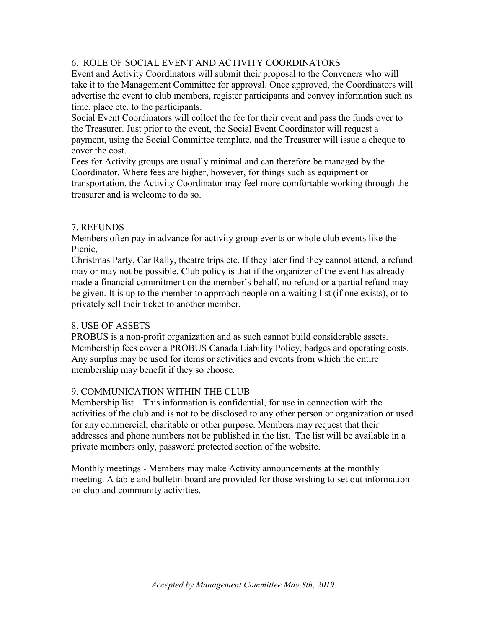# 6. ROLE OF SOCIAL EVENT AND ACTIVITY COORDINATORS

Event and Activity Coordinators will submit their proposal to the Conveners who will take it to the Management Committee for approval. Once approved, the Coordinators will advertise the event to club members, register participants and convey information such as time, place etc. to the participants.

Social Event Coordinators will collect the fee for their event and pass the funds over to the Treasurer. Just prior to the event, the Social Event Coordinator will request a payment, using the Social Committee template, and the Treasurer will issue a cheque to cover the cost.

Fees for Activity groups are usually minimal and can therefore be managed by the Coordinator. Where fees are higher, however, for things such as equipment or transportation, the Activity Coordinator may feel more comfortable working through the treasurer and is welcome to do so.

#### 7. REFUNDS

Members often pay in advance for activity group events or whole club events like the Picnic,

Christmas Party, Car Rally, theatre trips etc. If they later find they cannot attend, a refund may or may not be possible. Club policy is that if the organizer of the event has already made a financial commitment on the member's behalf, no refund or a partial refund may be given. It is up to the member to approach people on a waiting list (if one exists), or to privately sell their ticket to another member.

# 8. USE OF ASSETS

PROBUS is a non-profit organization and as such cannot build considerable assets. Membership fees cover a PROBUS Canada Liability Policy, badges and operating costs. Any surplus may be used for items or activities and events from which the entire membership may benefit if they so choose.

# 9. COMMUNICATION WITHIN THE CLUB

Membership list – This information is confidential, for use in connection with the activities of the club and is not to be disclosed to any other person or organization or used for any commercial, charitable or other purpose. Members may request that their addresses and phone numbers not be published in the list. The list will be available in a private members only, password protected section of the website.

Monthly meetings - Members may make Activity announcements at the monthly meeting. A table and bulletin board are provided for those wishing to set out information on club and community activities.